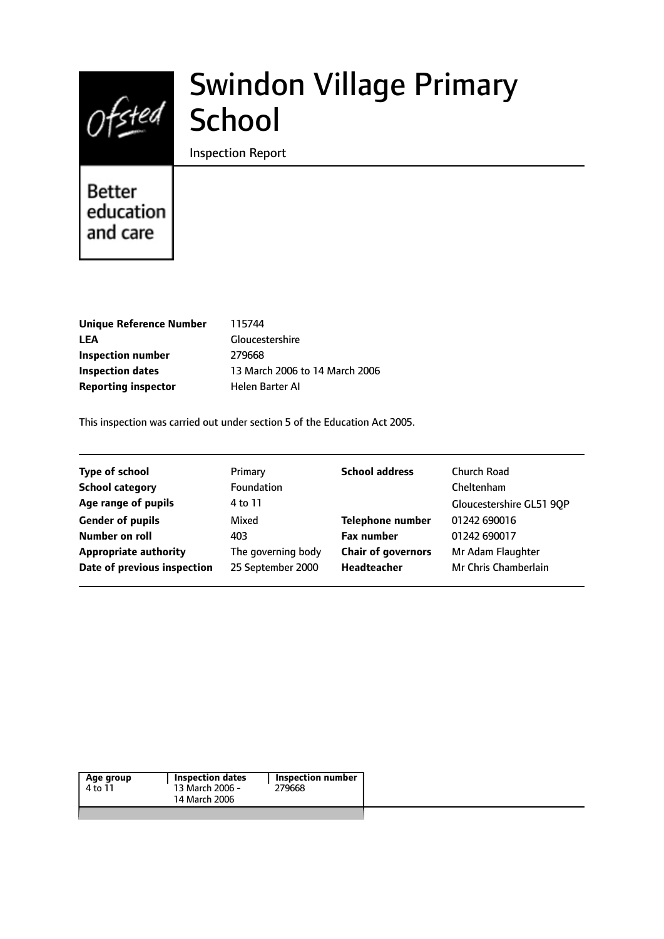

# Swindon Village Primary School

Inspection Report

# Better education and care

| <b>Unique Reference Number</b> |
|--------------------------------|
| LEA                            |
| Inspection number              |
| <b>Inspection dates</b>        |
| <b>Reporting inspector</b>     |

**Unique Reference Number** 115744 **LEA** Gloucestershire **Inspection number** 279668 13 March 2006 to 14 March 2006 **Helen Barter AI** 

This inspection was carried out under section 5 of the Education Act 2005.

| <b>Type of school</b>        | Primary            | <b>School address</b>     | Church Road              |
|------------------------------|--------------------|---------------------------|--------------------------|
| <b>School category</b>       | Foundation         |                           | Cheltenham               |
| Age range of pupils          | 4 to 11            |                           | Gloucestershire GL51 90P |
| <b>Gender of pupils</b>      | Mixed              | <b>Telephone number</b>   | 01242 690016             |
| Number on roll               | 403                | <b>Fax number</b>         | 01242 690017             |
| <b>Appropriate authority</b> | The governing body | <b>Chair of governors</b> | Mr Adam Flaughter        |
| Date of previous inspection  | 25 September 2000  | Headteacher               | Mr Chris Chamberlain     |
|                              |                    |                           |                          |

| Age group<br>4 to 11 | Inspection dates<br>13 March 2006 -<br>14 March 2006 | Inspection number<br>279668 |  |
|----------------------|------------------------------------------------------|-----------------------------|--|
|                      |                                                      |                             |  |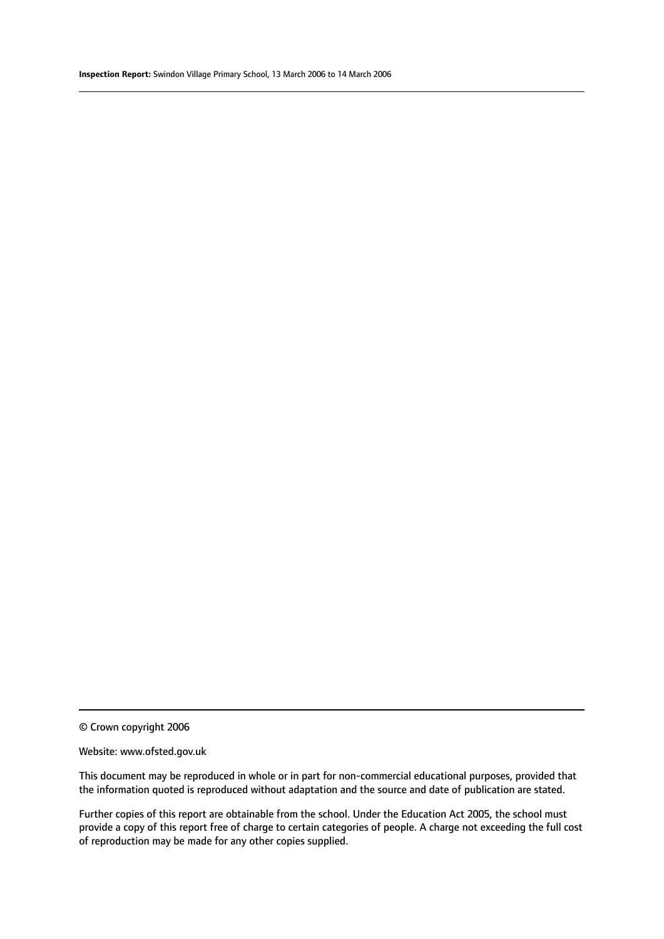© Crown copyright 2006

#### Website: www.ofsted.gov.uk

This document may be reproduced in whole or in part for non-commercial educational purposes, provided that the information quoted is reproduced without adaptation and the source and date of publication are stated.

Further copies of this report are obtainable from the school. Under the Education Act 2005, the school must provide a copy of this report free of charge to certain categories of people. A charge not exceeding the full cost of reproduction may be made for any other copies supplied.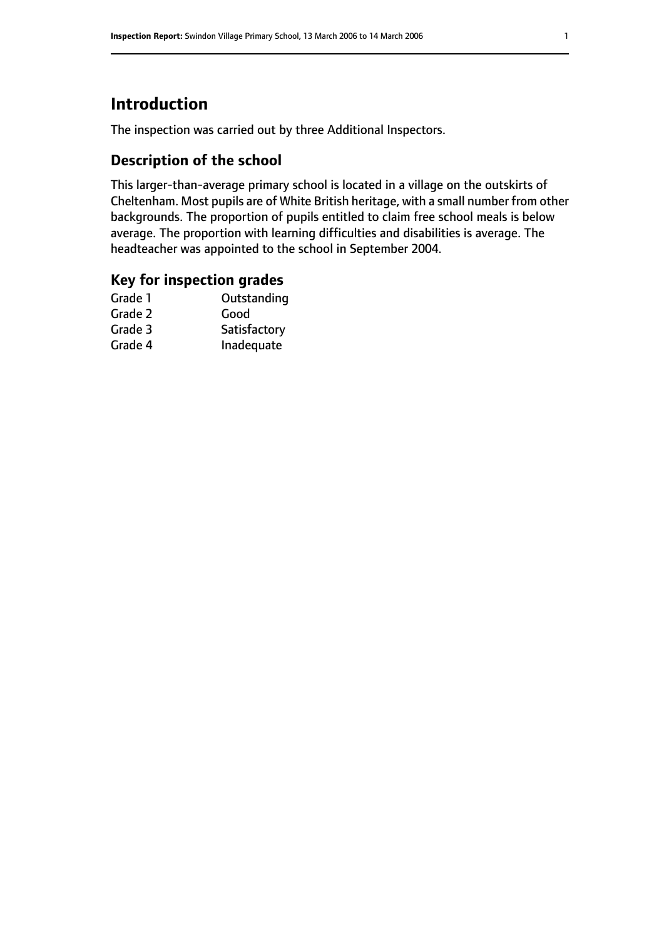# **Introduction**

The inspection was carried out by three Additional Inspectors.

### **Description of the school**

This larger-than-average primary school is located in a village on the outskirts of Cheltenham. Most pupils are of White British heritage, with a small number from other backgrounds. The proportion of pupils entitled to claim free school meals is below average. The proportion with learning difficulties and disabilities is average. The headteacher was appointed to the school in September 2004.

# **Key for inspection grades**

| Outstanding  |
|--------------|
| Good         |
| Satisfactory |
| Inadequate   |
|              |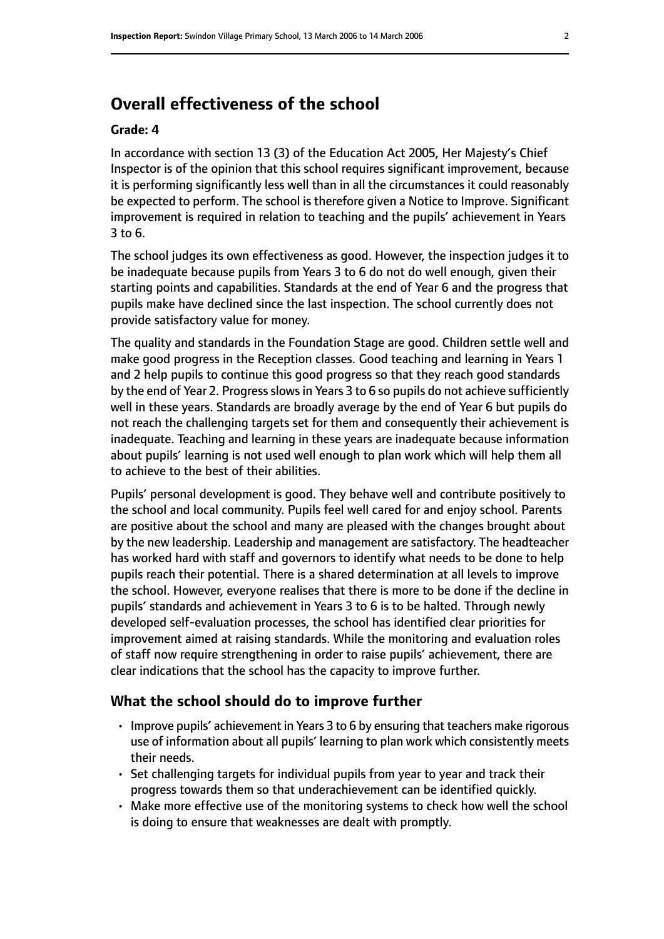# **Overall effectiveness of the school**

#### **Grade: 4**

In accordance with section 13 (3) of the Education Act 2005, Her Majesty's Chief Inspector is of the opinion that this school requires significant improvement, because it is performing significantly less well than in all the circumstances it could reasonably be expected to perform. The school is therefore given a Notice to Improve. Significant improvement is required in relation to teaching and the pupils' achievement in Years 3 to 6.

The school judges its own effectiveness as good. However, the inspection judges it to be inadequate because pupils from Years 3 to 6 do not do well enough, given their starting points and capabilities. Standards at the end of Year 6 and the progress that pupils make have declined since the last inspection. The school currently does not provide satisfactory value for money.

The quality and standards in the Foundation Stage are good. Children settle well and make good progress in the Reception classes. Good teaching and learning in Years 1 and 2 help pupils to continue this good progress so that they reach good standards by the end of Year 2. Progress slows in Years 3 to 6 so pupils do not achieve sufficiently well in these years. Standards are broadly average by the end of Year 6 but pupils do not reach the challenging targets set for them and consequently their achievement is inadequate. Teaching and learning in these years are inadequate because information about pupils' learning is not used well enough to plan work which will help them all to achieve to the best of their abilities.

Pupils' personal development is good. They behave well and contribute positively to the school and local community. Pupils feel well cared for and enjoy school. Parents are positive about the school and many are pleased with the changes brought about by the new leadership. Leadership and management are satisfactory. The headteacher has worked hard with staff and governors to identify what needs to be done to help pupils reach their potential. There is a shared determination at all levels to improve the school. However, everyone realises that there is more to be done if the decline in pupils' standards and achievement in Years 3 to 6 is to be halted. Through newly developed self-evaluation processes, the school has identified clear priorities for improvement aimed at raising standards. While the monitoring and evaluation roles of staff now require strengthening in order to raise pupils' achievement, there are clear indications that the school has the capacity to improve further.

#### **What the school should do to improve further**

- Improve pupils' achievement in Years 3 to 6 by ensuring that teachers make rigorous use of information about all pupils' learning to plan work which consistently meets their needs.
- Set challenging targets for individual pupils from year to year and track their progress towards them so that underachievement can be identified quickly.
- Make more effective use of the monitoring systems to check how well the school is doing to ensure that weaknesses are dealt with promptly.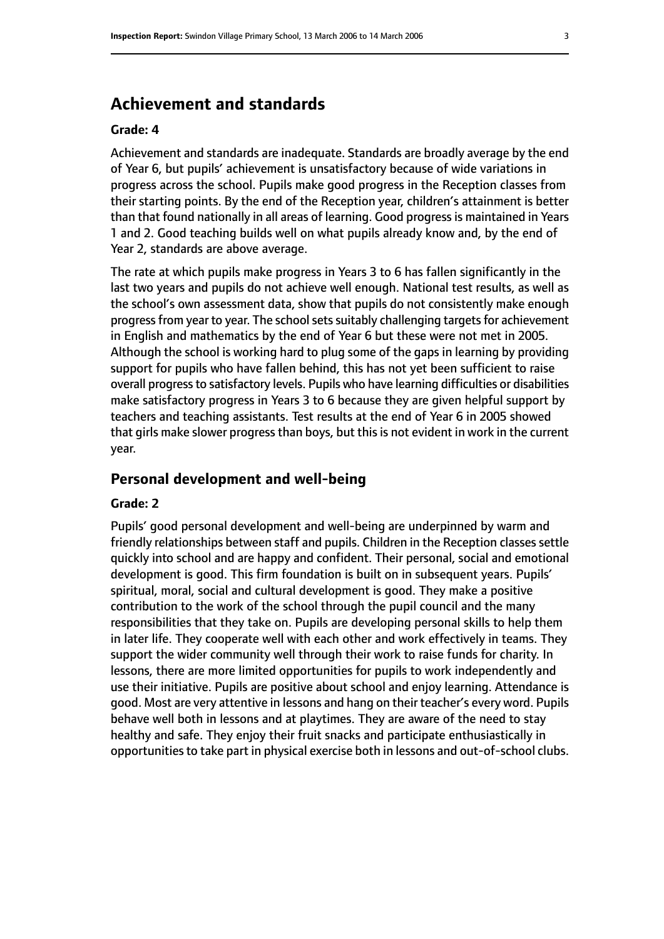# **Achievement and standards**

#### **Grade: 4**

Achievement and standards are inadequate. Standards are broadly average by the end of Year 6, but pupils' achievement is unsatisfactory because of wide variations in progress across the school. Pupils make good progress in the Reception classes from their starting points. By the end of the Reception year, children's attainment is better than that found nationally in all areas of learning. Good progress is maintained in Years 1 and 2. Good teaching builds well on what pupils already know and, by the end of Year 2, standards are above average.

The rate at which pupils make progress in Years 3 to 6 has fallen significantly in the last two years and pupils do not achieve well enough. National test results, as well as the school's own assessment data, show that pupils do not consistently make enough progress from year to year. The school sets suitably challenging targets for achievement in English and mathematics by the end of Year 6 but these were not met in 2005. Although the school is working hard to plug some of the gaps in learning by providing support for pupils who have fallen behind, this has not yet been sufficient to raise overall progress to satisfactory levels. Pupils who have learning difficulties or disabilities make satisfactory progress in Years 3 to 6 because they are given helpful support by teachers and teaching assistants. Test results at the end of Year 6 in 2005 showed that girls make slower progress than boys, but this is not evident in work in the current year.

#### **Personal development and well-being**

#### **Grade: 2**

Pupils' good personal development and well-being are underpinned by warm and friendly relationships between staff and pupils. Children in the Reception classes settle quickly into school and are happy and confident. Their personal, social and emotional development is good. This firm foundation is built on in subsequent years. Pupils' spiritual, moral, social and cultural development is good. They make a positive contribution to the work of the school through the pupil council and the many responsibilities that they take on. Pupils are developing personal skills to help them in later life. They cooperate well with each other and work effectively in teams. They support the wider community well through their work to raise funds for charity. In lessons, there are more limited opportunities for pupils to work independently and use their initiative. Pupils are positive about school and enjoy learning. Attendance is good. Most are very attentive in lessons and hang on their teacher's every word. Pupils behave well both in lessons and at playtimes. They are aware of the need to stay healthy and safe. They enjoy their fruit snacks and participate enthusiastically in opportunities to take part in physical exercise both in lessons and out-of-school clubs.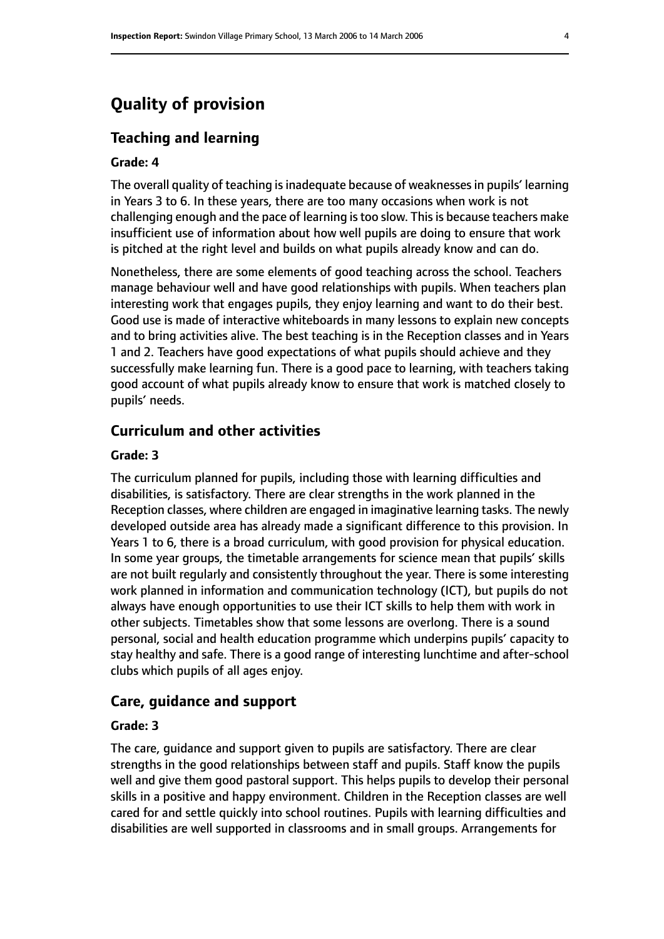# **Quality of provision**

#### **Teaching and learning**

#### **Grade: 4**

The overall quality of teaching is inadequate because of weaknesses in pupils' learning in Years 3 to 6. In these years, there are too many occasions when work is not challenging enough and the pace of learning is too slow. This is because teachers make insufficient use of information about how well pupils are doing to ensure that work is pitched at the right level and builds on what pupils already know and can do.

Nonetheless, there are some elements of good teaching across the school. Teachers manage behaviour well and have good relationships with pupils. When teachers plan interesting work that engages pupils, they enjoy learning and want to do their best. Good use is made of interactive whiteboards in many lessons to explain new concepts and to bring activities alive. The best teaching is in the Reception classes and in Years 1 and 2. Teachers have good expectations of what pupils should achieve and they successfully make learning fun. There is a good pace to learning, with teachers taking good account of what pupils already know to ensure that work is matched closely to pupils' needs.

### **Curriculum and other activities**

#### **Grade: 3**

The curriculum planned for pupils, including those with learning difficulties and disabilities, is satisfactory. There are clear strengths in the work planned in the Reception classes, where children are engaged in imaginative learning tasks. The newly developed outside area has already made a significant difference to this provision. In Years 1 to 6, there is a broad curriculum, with good provision for physical education. In some year groups, the timetable arrangements for science mean that pupils' skills are not built regularly and consistently throughout the year. There is some interesting work planned in information and communication technology (ICT), but pupils do not always have enough opportunities to use their ICT skills to help them with work in other subjects. Timetables show that some lessons are overlong. There is a sound personal, social and health education programme which underpins pupils' capacity to stay healthy and safe. There is a good range of interesting lunchtime and after-school clubs which pupils of all ages enjoy.

#### **Care, guidance and support**

#### **Grade: 3**

The care, guidance and support given to pupils are satisfactory. There are clear strengths in the good relationships between staff and pupils. Staff know the pupils well and give them good pastoral support. This helps pupils to develop their personal skills in a positive and happy environment. Children in the Reception classes are well cared for and settle quickly into school routines. Pupils with learning difficulties and disabilities are well supported in classrooms and in small groups. Arrangements for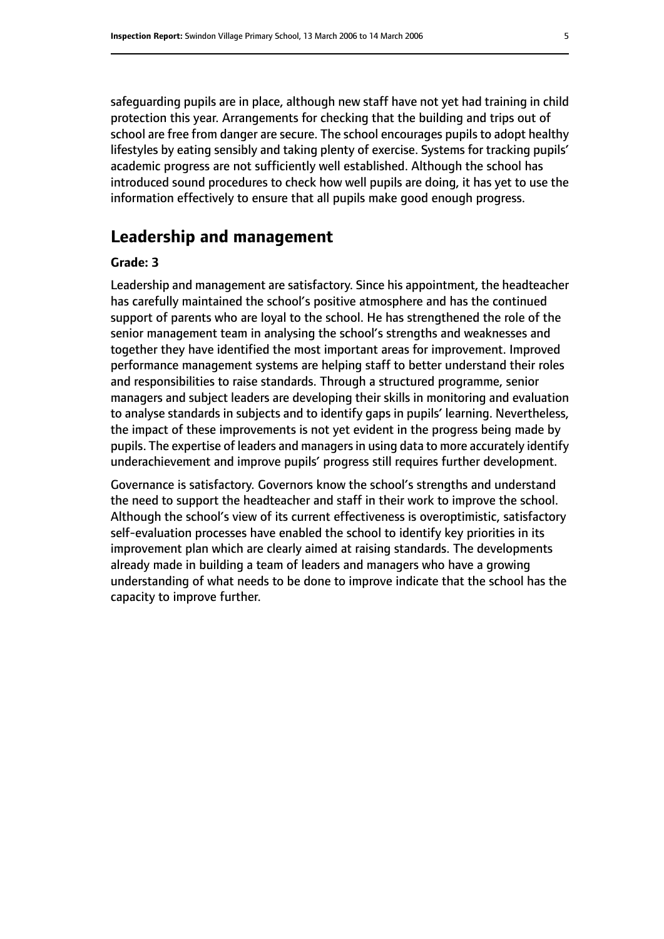safeguarding pupils are in place, although new staff have not yet had training in child protection this year. Arrangements for checking that the building and trips out of school are free from danger are secure. The school encourages pupils to adopt healthy lifestyles by eating sensibly and taking plenty of exercise. Systems for tracking pupils' academic progress are not sufficiently well established. Although the school has introduced sound procedures to check how well pupils are doing, it has yet to use the information effectively to ensure that all pupils make good enough progress.

# **Leadership and management**

#### **Grade: 3**

Leadership and management are satisfactory. Since his appointment, the headteacher has carefully maintained the school's positive atmosphere and has the continued support of parents who are loyal to the school. He has strengthened the role of the senior management team in analysing the school's strengths and weaknesses and together they have identified the most important areas for improvement. Improved performance management systems are helping staff to better understand their roles and responsibilities to raise standards. Through a structured programme, senior managers and subject leaders are developing their skills in monitoring and evaluation to analyse standards in subjects and to identify gaps in pupils' learning. Nevertheless, the impact of these improvements is not yet evident in the progress being made by pupils. The expertise of leaders and managersin using data to more accurately identify underachievement and improve pupils' progress still requires further development.

Governance is satisfactory. Governors know the school's strengths and understand the need to support the headteacher and staff in their work to improve the school. Although the school's view of its current effectiveness is overoptimistic, satisfactory self-evaluation processes have enabled the school to identify key priorities in its improvement plan which are clearly aimed at raising standards. The developments already made in building a team of leaders and managers who have a growing understanding of what needs to be done to improve indicate that the school has the capacity to improve further.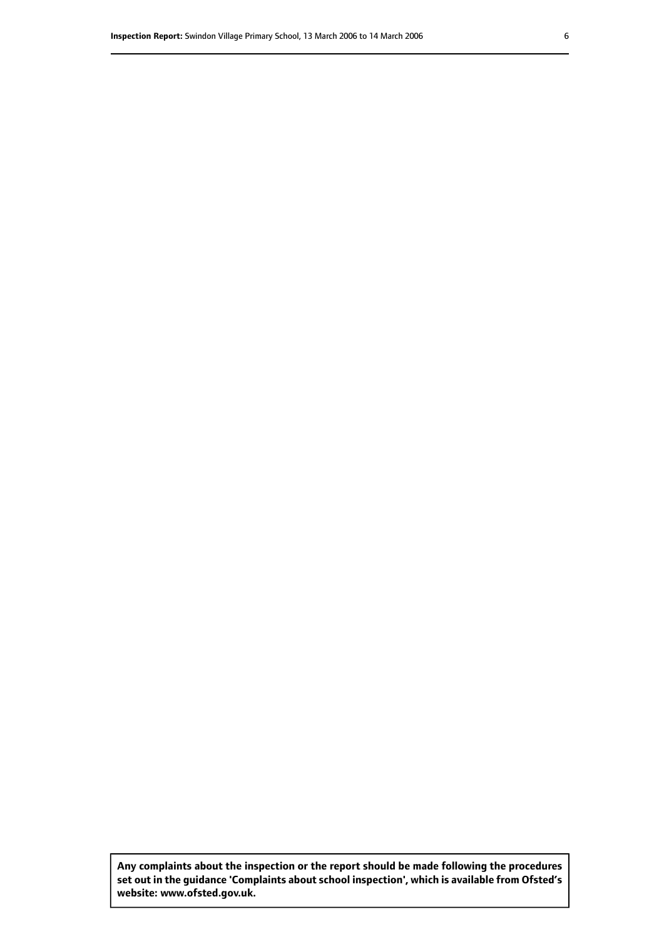**Any complaints about the inspection or the report should be made following the procedures set out inthe guidance 'Complaints about school inspection', whichis available from Ofsted's website: www.ofsted.gov.uk.**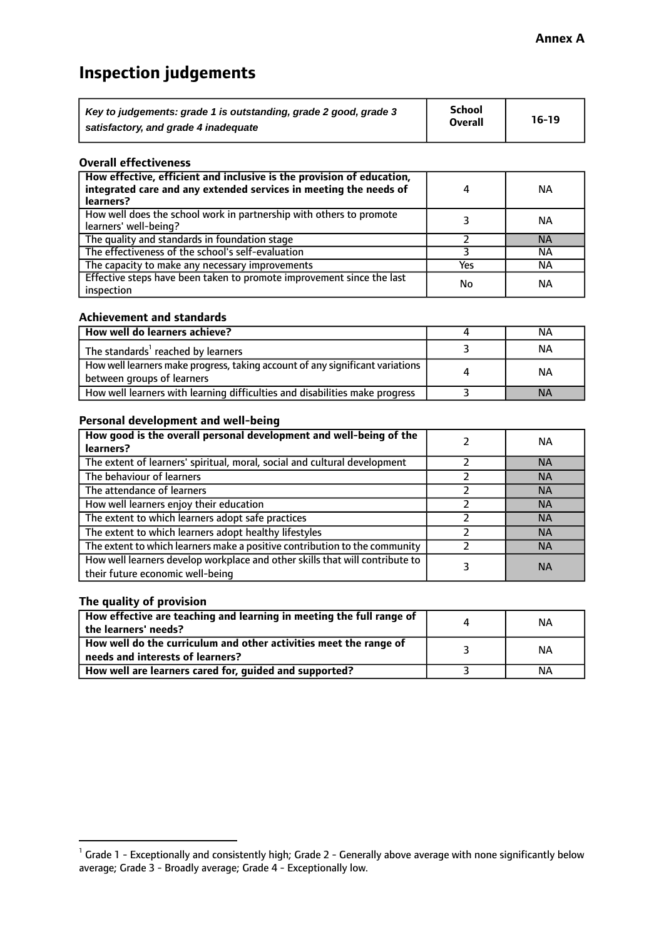# **Inspection judgements**

| Key to judgements: grade 1 is outstanding, grade 2 good, grade 3 | <b>School</b>  | $16-19$ |
|------------------------------------------------------------------|----------------|---------|
| satisfactory, and grade 4 inadequate                             | <b>Overall</b> |         |

#### **Overall effectiveness**

| How effective, efficient and inclusive is the provision of education,<br>integrated care and any extended services in meeting the needs of<br>learners? | 4   | <b>NA</b> |
|---------------------------------------------------------------------------------------------------------------------------------------------------------|-----|-----------|
| How well does the school work in partnership with others to promote<br>learners' well-being?                                                            |     | ΝA        |
| The quality and standards in foundation stage                                                                                                           |     | <b>NA</b> |
| The effectiveness of the school's self-evaluation                                                                                                       |     | ΝA        |
| The capacity to make any necessary improvements                                                                                                         | Yes | ΝA        |
| Effective steps have been taken to promote improvement since the last<br>inspection                                                                     | No  | ΝA        |

#### **Achievement and standards**

| How well do learners achieve?                                                                               | NА        |
|-------------------------------------------------------------------------------------------------------------|-----------|
| The standards <sup>1</sup> reached by learners                                                              | NА        |
| How well learners make progress, taking account of any significant variations<br>between groups of learners | <b>NA</b> |
| How well learners with learning difficulties and disabilities make progress                                 | <b>NA</b> |

#### **Personal development and well-being**

| How good is the overall personal development and well-being of the<br>learners?                                  | ΝA        |
|------------------------------------------------------------------------------------------------------------------|-----------|
| The extent of learners' spiritual, moral, social and cultural development                                        | <b>NA</b> |
| The behaviour of learners                                                                                        | <b>NA</b> |
| The attendance of learners                                                                                       | <b>NA</b> |
| How well learners enjoy their education                                                                          | <b>NA</b> |
| The extent to which learners adopt safe practices                                                                | <b>NA</b> |
| The extent to which learners adopt healthy lifestyles                                                            | <b>NA</b> |
| The extent to which learners make a positive contribution to the community                                       | <b>NA</b> |
| How well learners develop workplace and other skills that will contribute to<br>their future economic well-being | <b>NA</b> |

#### **The quality of provision**

| How effective are teaching and learning in meeting the full range of<br>the learners' needs?          | ΝA |
|-------------------------------------------------------------------------------------------------------|----|
| How well do the curriculum and other activities meet the range of<br>needs and interests of learners? | ΝA |
| How well are learners cared for, guided and supported?                                                | ΝA |

 $^1$  Grade 1 - Exceptionally and consistently high; Grade 2 - Generally above average with none significantly below average; Grade 3 - Broadly average; Grade 4 - Exceptionally low.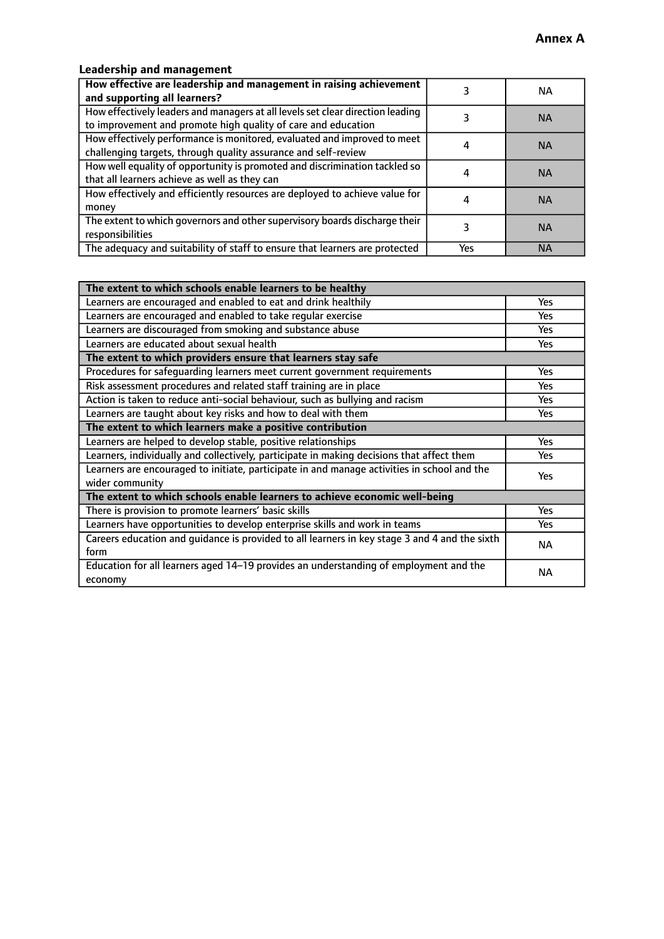# **Leadership and management**

| How effective are leadership and management in raising achievement<br>and supporting all learners?                                              |     | NA.       |
|-------------------------------------------------------------------------------------------------------------------------------------------------|-----|-----------|
| How effectively leaders and managers at all levels set clear direction leading<br>to improvement and promote high quality of care and education |     | <b>NA</b> |
| How effectively performance is monitored, evaluated and improved to meet<br>challenging targets, through quality assurance and self-review      |     | <b>NA</b> |
| How well equality of opportunity is promoted and discrimination tackled so<br>that all learners achieve as well as they can                     |     | <b>NA</b> |
| How effectively and efficiently resources are deployed to achieve value for<br>money                                                            |     | <b>NA</b> |
| The extent to which governors and other supervisory boards discharge their<br>responsibilities                                                  |     | <b>NA</b> |
| The adequacy and suitability of staff to ensure that learners are protected                                                                     | Yes | <b>NA</b> |

| The extent to which schools enable learners to be healthy                                     |            |  |
|-----------------------------------------------------------------------------------------------|------------|--|
| Learners are encouraged and enabled to eat and drink healthily                                | Yes        |  |
| Learners are encouraged and enabled to take regular exercise                                  | Yes        |  |
| Learners are discouraged from smoking and substance abuse                                     | <b>Yes</b> |  |
| Learners are educated about sexual health                                                     | <b>Yes</b> |  |
| The extent to which providers ensure that learners stay safe                                  |            |  |
| Procedures for safequarding learners meet current government requirements                     | Yes        |  |
| Risk assessment procedures and related staff training are in place                            | Yes        |  |
| Action is taken to reduce anti-social behaviour, such as bullying and racism                  | Yes        |  |
| Learners are taught about key risks and how to deal with them                                 | <b>Yes</b> |  |
| The extent to which learners make a positive contribution                                     |            |  |
| Learners are helped to develop stable, positive relationships                                 | Yes        |  |
| Learners, individually and collectively, participate in making decisions that affect them     | Yes        |  |
| Learners are encouraged to initiate, participate in and manage activities in school and the   |            |  |
| wider community                                                                               | <b>Yes</b> |  |
| The extent to which schools enable learners to achieve economic well-being                    |            |  |
| There is provision to promote learners' basic skills                                          | Yes        |  |
| Learners have opportunities to develop enterprise skills and work in teams                    | <b>Yes</b> |  |
| Careers education and guidance is provided to all learners in key stage 3 and 4 and the sixth | <b>NA</b>  |  |
| form                                                                                          |            |  |
| Education for all learners aged 14-19 provides an understanding of employment and the         | NА         |  |
| economy                                                                                       |            |  |